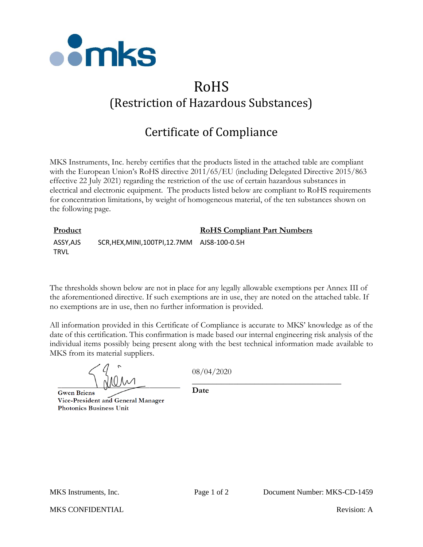

## RoHS (Restriction of Hazardous Substances)

## Certificate of Compliance

MKS Instruments, Inc. hereby certifies that the products listed in the attached table are compliant with the European Union's RoHS directive 2011/65/EU (including Delegated Directive 2015/863 effective 22 July 2021) regarding the restriction of the use of certain hazardous substances in electrical and electronic equipment. The products listed below are compliant to RoHS requirements for concentration limitations, by weight of homogeneous material, of the ten substances shown on the following page.

| <b>Product</b>          |                                              | <b>RoHS Compliant Part Numbers</b> |  |
|-------------------------|----------------------------------------------|------------------------------------|--|
| ASSY,AJS<br><b>TRVL</b> | SCR, HEX, MINI, 100TPI, 12.7MM AJS8-100-0.5H |                                    |  |

The thresholds shown below are not in place for any legally allowable exemptions per Annex III of the aforementioned directive. If such exemptions are in use, they are noted on the attached table. If no exemptions are in use, then no further information is provided.

All information provided in this Certificate of Compliance is accurate to MKS' knowledge as of the date of this certification. This confirmation is made based our internal engineering risk analysis of the individual items possibly being present along with the best technical information made available to MKS from its material suppliers.

08/04/2020

\_\_\_\_\_\_\_\_\_\_\_\_\_\_\_\_\_\_\_\_\_\_\_\_\_\_\_\_\_\_\_\_\_\_\_\_

**Gwen Briens** Vice-President and General Manager **Photonics Business Unit** 

**Date**